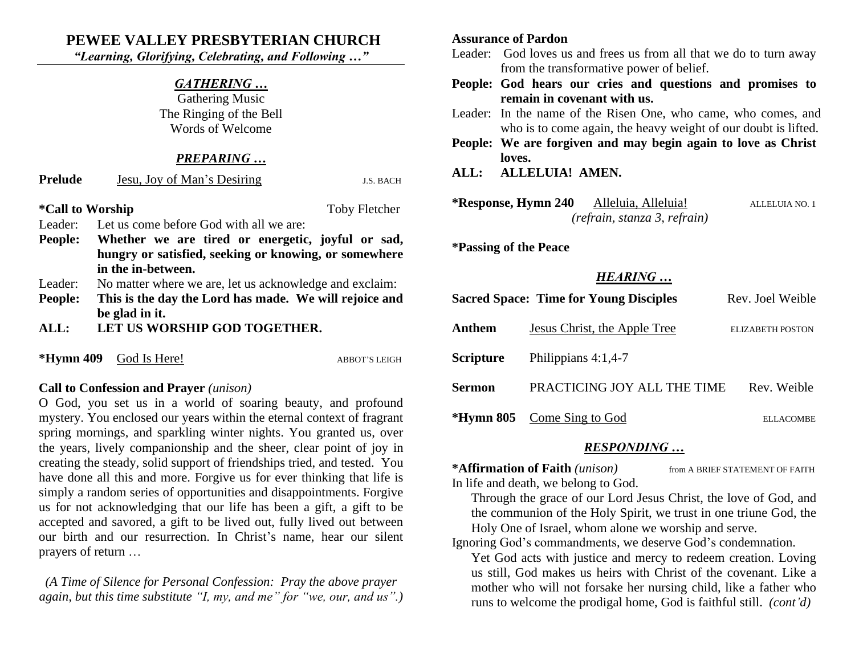# **PEWEE VALLEY PRESBYTERIAN CHURCH**

*"Learning, Glorifying, Celebrating, and Following …"*

#### *GATHERING …*

Gathering Music The Ringing of the Bell Words of Welcome

#### *PREPARING …*

**Prelude** Jesu, Joy of Man's Desiring J.S. BACH

**\*Call to Worship** Toby Fletcher

- Leader: Let us come before God with all we are:
- **People: Whether we are tired or energetic, joyful or sad, hungry or satisfied, seeking or knowing, or somewhere in the in-between.**
- Leader: No matter where we are, let us acknowledge and exclaim:
- **People: This is the day the Lord has made. We will rejoice and be glad in it.**
- **ALL: LET US WORSHIP GOD TOGETHER.**

\*Hymn 409 God Is Here! ABBOT'S LEIGH

#### **Call to Confession and Prayer** *(unison)*

O God, you set us in a world of soaring beauty, and profound mystery. You enclosed our years within the eternal context of fragrant spring mornings, and sparkling winter nights. You granted us, over the years, lively companionship and the sheer, clear point of joy in creating the steady, solid support of friendships tried, and tested. You have done all this and more. Forgive us for ever thinking that life is simply a random series of opportunities and disappointments. Forgive us for not acknowledging that our life has been a gift, a gift to be accepted and savored, a gift to be lived out, fully lived out between our birth and our resurrection. In Christ's name, hear our silent prayers of return …

*(A Time of Silence for Personal Confession: Pray the above prayer again, but this time substitute "I, my, and me" for "we, our, and us".)*

#### **Assurance of Pardon**

- Leader: God loves us and frees us from all that we do to turn away from the transformative power of belief.
- **People: God hears our cries and questions and promises to remain in covenant with us.**
- Leader: In the name of the Risen One, who came, who comes, and who is to come again, the heavy weight of our doubt is lifted.
- **People: We are forgiven and may begin again to love as Christ loves.**
- **ALL: ALLELUIA! AMEN.**
- **\*Response, Hymn 240** Alleluia, Alleluia! ALLELUIA NO. 1 *(refrain, stanza 3, refrain)*

**\*Passing of the Peace**

#### *HEARING …*

| <b>Sacred Space: Time for Young Disciples</b> |                                   | Rev. Joel Weible |
|-----------------------------------------------|-----------------------------------|------------------|
| Anthem                                        | Jesus Christ, the Apple Tree      | ELIZABETH POSTON |
| <b>Scripture</b>                              | Philippians $4:1,4-7$             |                  |
| Sermon                                        | PRACTICING JOY ALL THE TIME       | Rev. Weible      |
|                                               | <b>*Hymn 805</b> Come Sing to God | ELLACOMBE        |

### *RESPONDING …*

\***Affirmation of Faith** *(unison)* from A BRIEF STATEMENT OF FAITH In life and death, we belong to God.

Through the grace of our Lord Jesus Christ, the love of God, and the communion of the Holy Spirit, we trust in one triune God, the Holy One of Israel, whom alone we worship and serve.

Ignoring God's commandments, we deserve God's condemnation.

Yet God acts with justice and mercy to redeem creation. Loving us still, God makes us heirs with Christ of the covenant. Like a mother who will not forsake her nursing child, like a father who runs to welcome the prodigal home, God is faithful still. *(cont'd)*